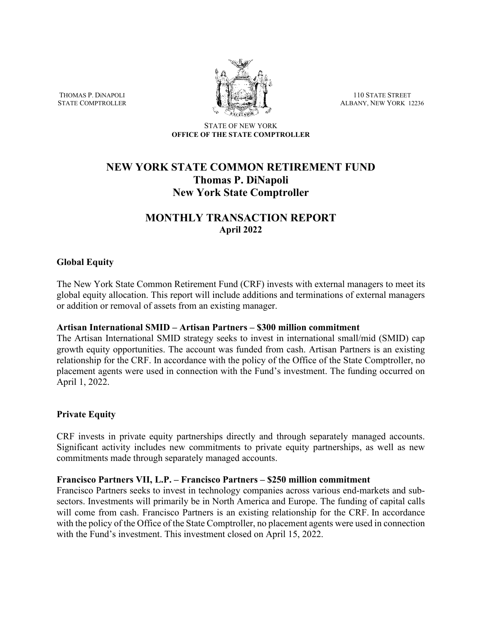THOMAS P. DiNAPOLI STATE COMPTROLLER



110 STATE STREET ALBANY, NEW YORK 12236

STATE OF NEW YORK **OFFICE OF THE STATE COMPTROLLER**

# **NEW YORK STATE COMMON RETIREMENT FUND Thomas P. DiNapoli New York State Comptroller**

# **MONTHLY TRANSACTION REPORT April 2022**

## **Global Equity**

The New York State Common Retirement Fund (CRF) invests with external managers to meet its global equity allocation. This report will include additions and terminations of external managers or addition or removal of assets from an existing manager.

#### **Artisan International SMID – Artisan Partners – \$300 million commitment**

The Artisan International SMID strategy seeks to invest in international small/mid (SMID) cap growth equity opportunities. The account was funded from cash. Artisan Partners is an existing relationship for the CRF. In accordance with the policy of the Office of the State Comptroller, no placement agents were used in connection with the Fund's investment. The funding occurred on April 1, 2022.

#### **Private Equity**

CRF invests in private equity partnerships directly and through separately managed accounts. Significant activity includes new commitments to private equity partnerships, as well as new commitments made through separately managed accounts.

#### **Francisco Partners VII, L.P. – Francisco Partners – \$250 million commitment**

Francisco Partners seeks to invest in technology companies across various end-markets and subsectors. Investments will primarily be in North America and Europe. The funding of capital calls will come from cash. Francisco Partners is an existing relationship for the CRF. In accordance with the policy of the Office of the State Comptroller, no placement agents were used in connection with the Fund's investment. This investment closed on April 15, 2022.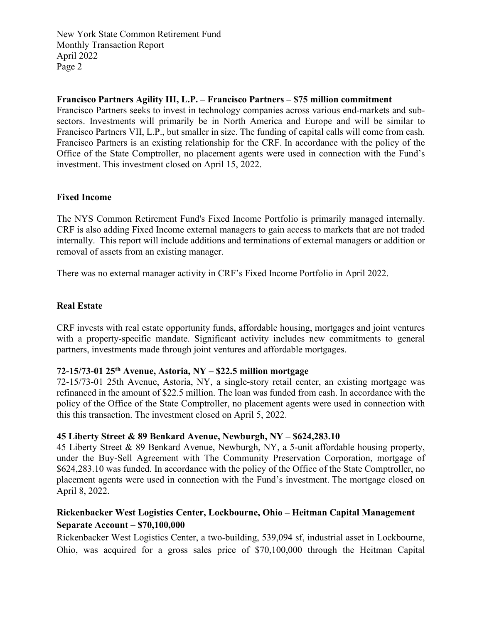## **Francisco Partners Agility III, L.P. – Francisco Partners – \$75 million commitment**

Francisco Partners seeks to invest in technology companies across various end-markets and subsectors. Investments will primarily be in North America and Europe and will be similar to Francisco Partners VII, L.P., but smaller in size. The funding of capital calls will come from cash. Francisco Partners is an existing relationship for the CRF. In accordance with the policy of the Office of the State Comptroller, no placement agents were used in connection with the Fund's investment. This investment closed on April 15, 2022.

## **Fixed Income**

The NYS Common Retirement Fund's Fixed Income Portfolio is primarily managed internally. CRF is also adding Fixed Income external managers to gain access to markets that are not traded internally. This report will include additions and terminations of external managers or addition or removal of assets from an existing manager.

There was no external manager activity in CRF's Fixed Income Portfolio in April 2022.

#### **Real Estate**

CRF invests with real estate opportunity funds, affordable housing, mortgages and joint ventures with a property-specific mandate. Significant activity includes new commitments to general partners, investments made through joint ventures and affordable mortgages.

### **72-15/73-01 25th Avenue, Astoria, NY – \$22.5 million mortgage**

72-15/73-01 25th Avenue, Astoria, NY, a single-story retail center, an existing mortgage was refinanced in the amount of \$22.5 million. The loan was funded from cash. In accordance with the policy of the Office of the State Comptroller, no placement agents were used in connection with this this transaction. The investment closed on April 5, 2022.

#### **45 Liberty Street & 89 Benkard Avenue, Newburgh, NY – \$624,283.10**

45 Liberty Street & 89 Benkard Avenue, Newburgh, NY, a 5-unit affordable housing property, under the Buy-Sell Agreement with The Community Preservation Corporation, mortgage of \$624,283.10 was funded. In accordance with the policy of the Office of the State Comptroller, no placement agents were used in connection with the Fund's investment. The mortgage closed on April 8, 2022.

# **Rickenbacker West Logistics Center, Lockbourne, Ohio – Heitman Capital Management Separate Account – \$70,100,000**

Rickenbacker West Logistics Center, a two-building, 539,094 sf, industrial asset in Lockbourne, Ohio, was acquired for a gross sales price of \$70,100,000 through the Heitman Capital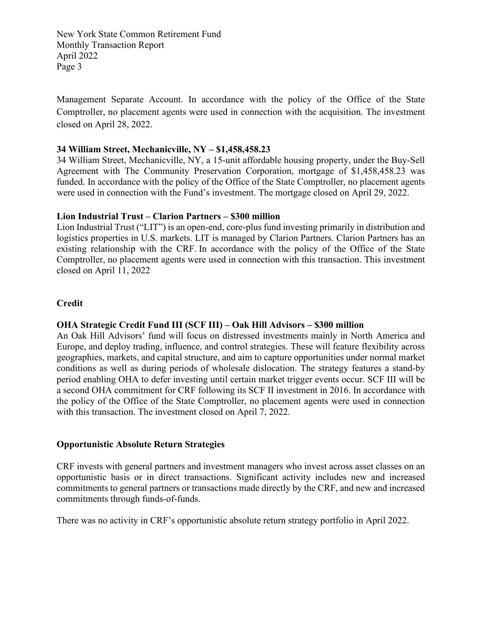Management Separate Account. In accordance with the policy of the Office of the State Comptroller, no placement agents were used in connection with the acquisition. The investment closed on April 28, 2022.

### **34 William Street, Mechanicville, NY – \$1,458,458.23**

34 William Street, Mechanicville, NY, a 15-unit affordable housing property, under the Buy-Sell Agreement with The Community Preservation Corporation, mortgage of \$1,458,458.23 was funded. In accordance with the policy of the Office of the State Comptroller, no placement agents were used in connection with the Fund's investment. The mortgage closed on April 29, 2022.

#### **Lion Industrial Trust – Clarion Partners – \$300 million**

Lion Industrial Trust ("LIT") is an open-end, core-plus fund investing primarily in distribution and logistics properties in U.S. markets. LIT is managed by Clarion Partners. Clarion Partners has an existing relationship with the CRF. In accordance with the policy of the Office of the State Comptroller, no placement agents were used in connection with this transaction. This investment closed on April 11, 2022

## **Credit**

# **OHA Strategic Credit Fund III (SCF III) – Oak Hill Advisors – \$300 million**

An Oak Hill Advisors' fund will focus on distressed investments mainly in North America and Europe, and deploy trading, influence, and control strategies. These will feature flexibility across geographies, markets, and capital structure, and aim to capture opportunities under normal market conditions as well as during periods of wholesale dislocation. The strategy features a stand-by period enabling OHA to defer investing until certain market trigger events occur. SCF III will be a second OHA commitment for CRF following its SCF II investment in 2016. In accordance with the policy of the Office of the State Comptroller, no placement agents were used in connection with this transaction. The investment closed on April 7, 2022.

#### **Opportunistic Absolute Return Strategies**

CRF invests with general partners and investment managers who invest across asset classes on an opportunistic basis or in direct transactions. Significant activity includes new and increased commitments to general partners or transactions made directly by the CRF, and new and increased commitments through funds-of-funds.

There was no activity in CRF's opportunistic absolute return strategy portfolio in April 2022.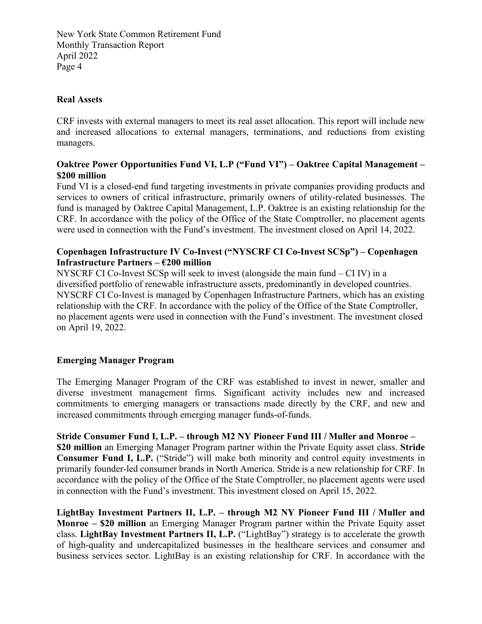### **Real Assets**

CRF invests with external managers to meet its real asset allocation. This report will include new and increased allocations to external managers, terminations, and reductions from existing managers.

## **Oaktree Power Opportunities Fund VI, L.P ("Fund VI") – Oaktree Capital Management – \$200 million**

Fund VI is a closed-end fund targeting investments in private companies providing products and services to owners of critical infrastructure, primarily owners of utility-related businesses. The fund is managed by Oaktree Capital Management, L.P. Oaktree is an existing relationship for the CRF. In accordance with the policy of the Office of the State Comptroller, no placement agents were used in connection with the Fund's investment. The investment closed on April 14, 2022.

# **Copenhagen Infrastructure IV Co-Invest ("NYSCRF CI Co-Invest SCSp") – Copenhagen Infrastructure Partners – €200 million**

NYSCRF CI Co-Invest SCSp will seek to invest (alongside the main fund – CI IV) in a diversified portfolio of renewable infrastructure assets, predominantly in developed countries. NYSCRF CI Co-Invest is managed by Copenhagen Infrastructure Partners, which has an existing relationship with the CRF. In accordance with the policy of the Office of the State Comptroller, no placement agents were used in connection with the Fund's investment. The investment closed on April 19, 2022.

# **Emerging Manager Program**

The Emerging Manager Program of the CRF was established to invest in newer, smaller and diverse investment management firms. Significant activity includes new and increased commitments to emerging managers or transactions made directly by the CRF, and new and increased commitments through emerging manager funds-of-funds.

**Stride Consumer Fund I, L.P. – through M2 NY Pioneer Fund III / Muller and Monroe – \$20 million** an Emerging Manager Program partner within the Private Equity asset class. **Stride Consumer Fund I, L.P.** ("Stride") will make both minority and control equity investments in primarily founder-led consumer brands in North America. Stride is a new relationship for CRF. In accordance with the policy of the Office of the State Comptroller, no placement agents were used in connection with the Fund's investment. This investment closed on April 15, 2022.

**LightBay Investment Partners II, L.P. – through M2 NY Pioneer Fund III / Muller and Monroe – \$20 million** an Emerging Manager Program partner within the Private Equity asset class. **LightBay Investment Partners II, L.P.** ("LightBay") strategy is to accelerate the growth of high-quality and undercapitalized businesses in the healthcare services and consumer and business services sector. LightBay is an existing relationship for CRF. In accordance with the